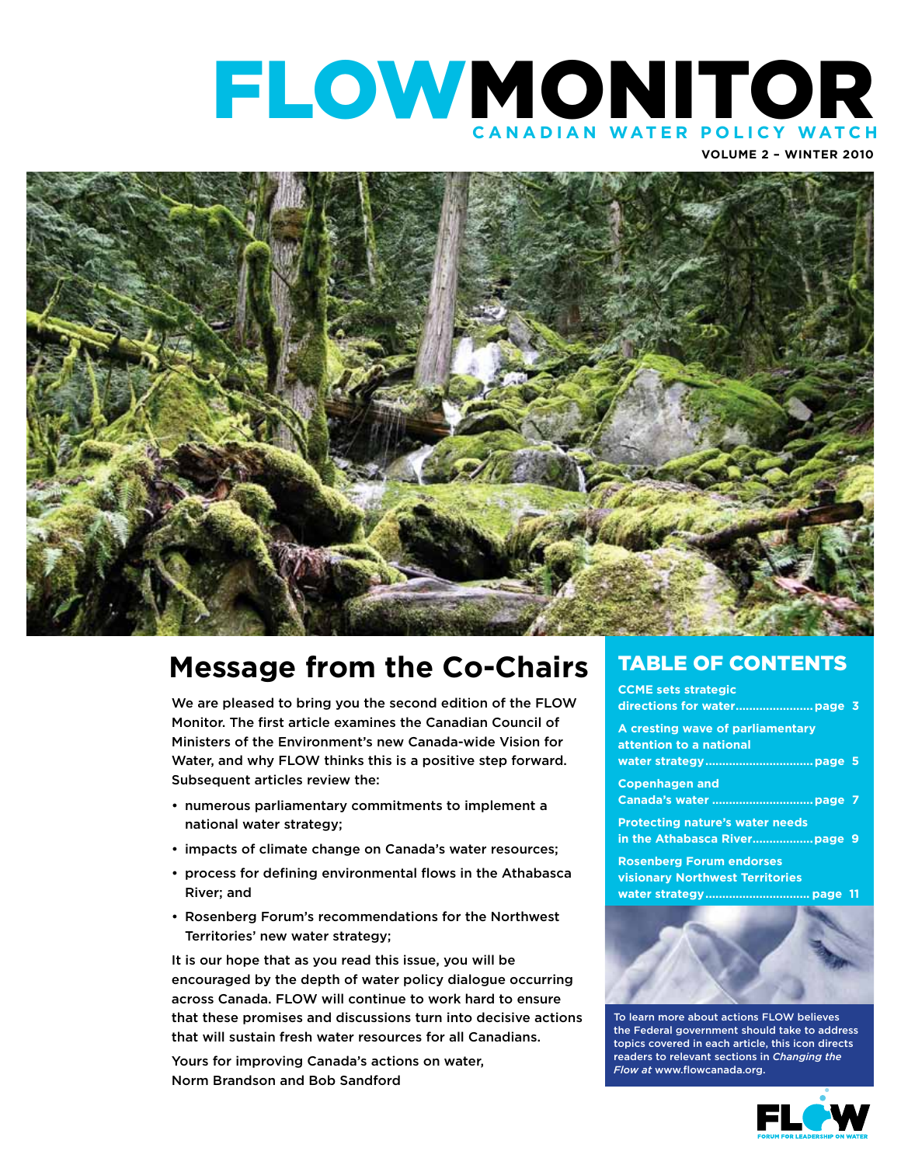## FLOWMONITOR **C anadian Water P olic y W atch**

**Volume 2 – winter 2010**



## **Message from the Co-Chairs**

We are pleased to bring you the second edition of the FLOW Monitor. The first article examines the Canadian Council of Ministers of the Environment's new Canada-wide Vision for Water, and why FLOW thinks this is a positive step forward. Subsequent articles review the:

- numerous parliamentary commitments to implement a national water strategy;
- impacts of climate change on Canada's water resources;
- process for defining environmental flows in the Athabasca River; and
- Rosenberg Forum's recommendations for the Northwest Territories' new water strategy;

It is our hope that as you read this issue, you will be encouraged by the depth of water policy dialogue occurring across Canada. FLOW will continue to work hard to ensure that these promises and discussions turn into decisive actions that will sustain fresh water resources for all Canadians.

Yours for improving Canada's actions on water, Norm Brandson and Bob Sandford

#### TABLE OF CONTENTS

**Ccme sets strategic directions for water.......................page 3**

**A cresting wave of parliamentary attention to a national water strategy................................page 5**

**Copenhagen and Canada's water ..............................page 7**

**Protecting nature's water needs in the Athabasca River..................page 9**

**Rosenberg Forum endorses visionary Northwest Territories water strategy............................... page 11**



To learn more about actions FLOW believes the Federal government should take to address topics covered in each article, this icon directs readers to relevant sections in *Changing the Flow at* www.flowcanada.org.

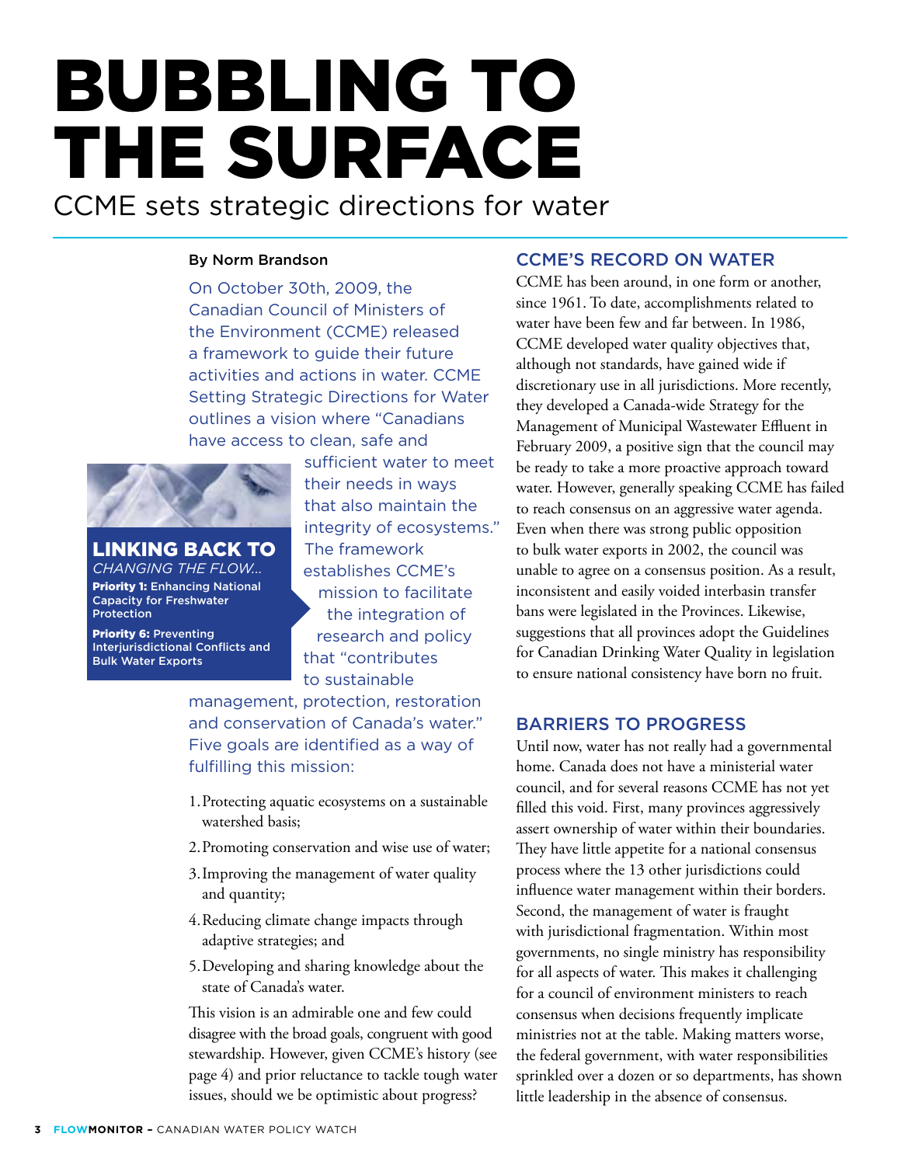# BUBBLING TO THE SURFACE

CCME sets strategic directions for water

#### By Norm Brandson

On October 30th, 2009, the Canadian Council of Ministers of the Environment (CCME) released a framework to guide their future activities and actions in water. CCME Setting Strategic Directions for Water outlines a vision where "Canadians have access to clean, safe and



Linking back to *Changing the Flow...*  Priority 1: Enhancing National Capacity for Freshwater Protection

Priority 6: Preventing Interjurisdictional Conflicts and Bulk Water Exports

sufficient water to meet their needs in ways that also maintain the integrity of ecosystems." The framework establishes CCME's mission to facilitate the integration of research and policy that "contributes to sustainable

management, protection, restoration and conservation of Canada's water." Five goals are identified as a way of fulfilling this mission:

- 1. Protecting aquatic ecosystems on a sustainable watershed basis;
- 2. Promoting conservation and wise use of water;
- 3. Improving the management of water quality and quantity;
- 4. Reducing climate change impacts through adaptive strategies; and
- 5. Developing and sharing knowledge about the state of Canada's water.

This vision is an admirable one and few could disagree with the broad goals, congruent with good stewardship. However, given CCME's history (see page 4) and prior reluctance to tackle tough water issues, should we be optimistic about progress?

#### CCME's Record on Water

CCME has been around, in one form or another, since 1961. To date, accomplishments related to water have been few and far between. In 1986, CCME developed water quality objectives that, although not standards, have gained wide if discretionary use in all jurisdictions. More recently, they developed a Canada-wide Strategy for the Management of Municipal Wastewater Effluent in February 2009, a positive sign that the council may be ready to take a more proactive approach toward water. However, generally speaking CCME has failed to reach consensus on an aggressive water agenda. Even when there was strong public opposition to bulk water exports in 2002, the council was unable to agree on a consensus position. As a result, inconsistent and easily voided interbasin transfer bans were legislated in the Provinces. Likewise, suggestions that all provinces adopt the Guidelines for Canadian Drinking Water Quality in legislation to ensure national consistency have born no fruit.

#### Barriers to Progress

Until now, water has not really had a governmental home. Canada does not have a ministerial water council, and for several reasons CCME has not yet filled this void. First, many provinces aggressively assert ownership of water within their boundaries. They have little appetite for a national consensus process where the 13 other jurisdictions could influence water management within their borders. Second, the management of water is fraught with jurisdictional fragmentation. Within most governments, no single ministry has responsibility for all aspects of water. This makes it challenging for a council of environment ministers to reach consensus when decisions frequently implicate ministries not at the table. Making matters worse, the federal government, with water responsibilities sprinkled over a dozen or so departments, has shown little leadership in the absence of consensus.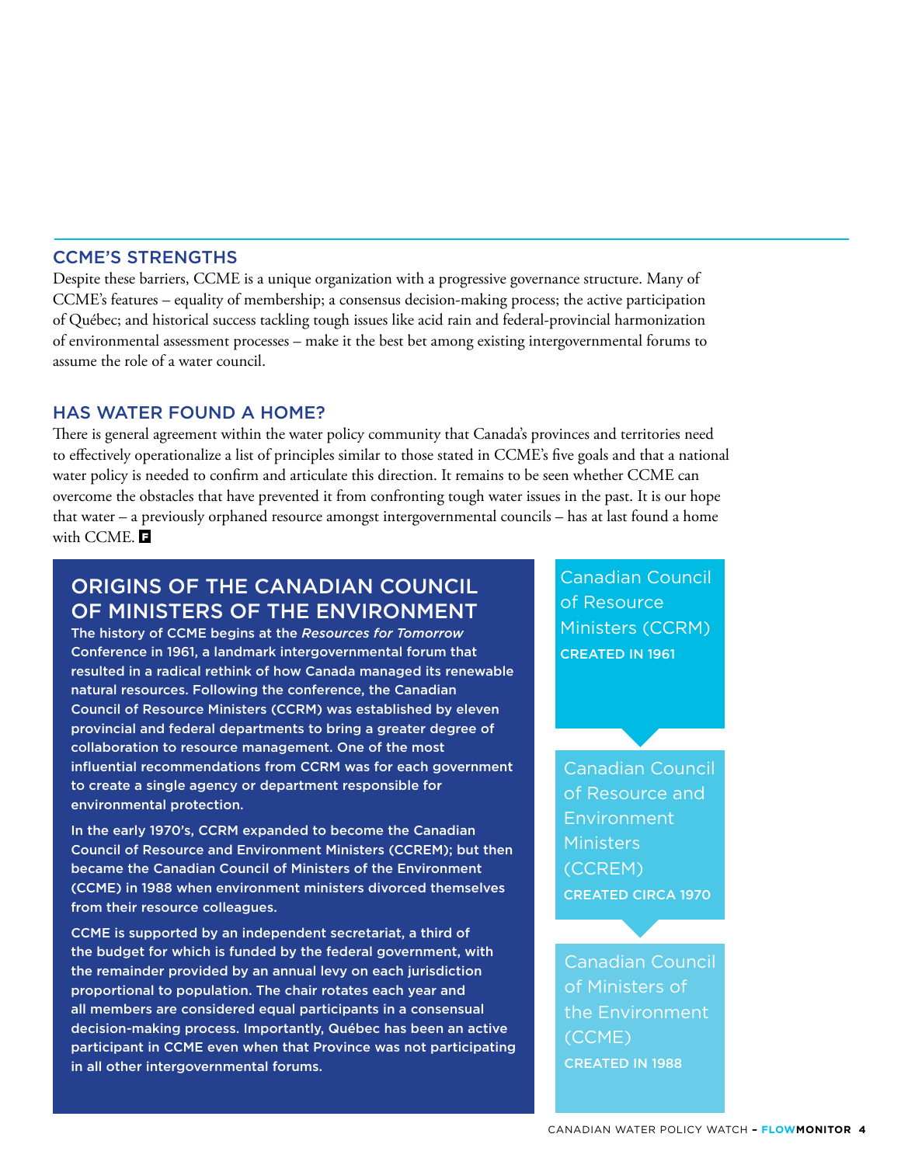#### CCME's Strengths

Despite these barriers, CCME is a unique organization with a progressive governance structure. Many of CCME's features – equality of membership; a consensus decision-making process; the active participation of Québec; and historical success tackling tough issues like acid rain and federal-provincial harmonization of environmental assessment processes – make it the best bet among existing intergovernmental forums to assume the role of a water council.

#### HAS WATER FOUND A HOME?

There is general agreement within the water policy community that Canada's provinces and territories need to effectively operationalize a list of principles similar to those stated in CCME's five goals and that a national water policy is needed to confirm and articulate this direction. It remains to be seen whether CCME can overcome the obstacles that have prevented it from confronting tough water issues in the past. It is our hope that water – a previously orphaned resource amongst intergovernmental councils – has at last found a home with CCME.

#### Origins of the Canadian Council of Ministers of the Environment

The history of CCME begins at the *Resources for Tomorrow* Conference in 1961, a landmark intergovernmental forum that resulted in a radical rethink of how Canada managed its renewable natural resources. Following the conference, the Canadian Council of Resource Ministers (CCRM) was established by eleven provincial and federal departments to bring a greater degree of collaboration to resource management. One of the most influential recommendations from CCRM was for each government to create a single agency or department responsible for environmental protection.

In the early 1970's, CCRM expanded to become the Canadian Council of Resource and Environment Ministers (CCREM); but then became the Canadian Council of Ministers of the Environment (CCME) in 1988 when environment ministers divorced themselves from their resource colleagues.

CCME is supported by an independent secretariat, a third of the budget for which is funded by the federal government, with the remainder provided by an annual levy on each jurisdiction proportional to population. The chair rotates each year and all members are considered equal participants in a consensual decision-making process. Importantly, Québec has been an active participant in CCME even when that Province was not participating in all other intergovernmental forums.

Canadian Council of Resource Ministers (CCRM) Created in 1961

Canadian Council of Resource and Environment **Ministers** (CCREM) Created circa 1970

Canadian Council of Ministers of the Environment (CCME) Created in 1988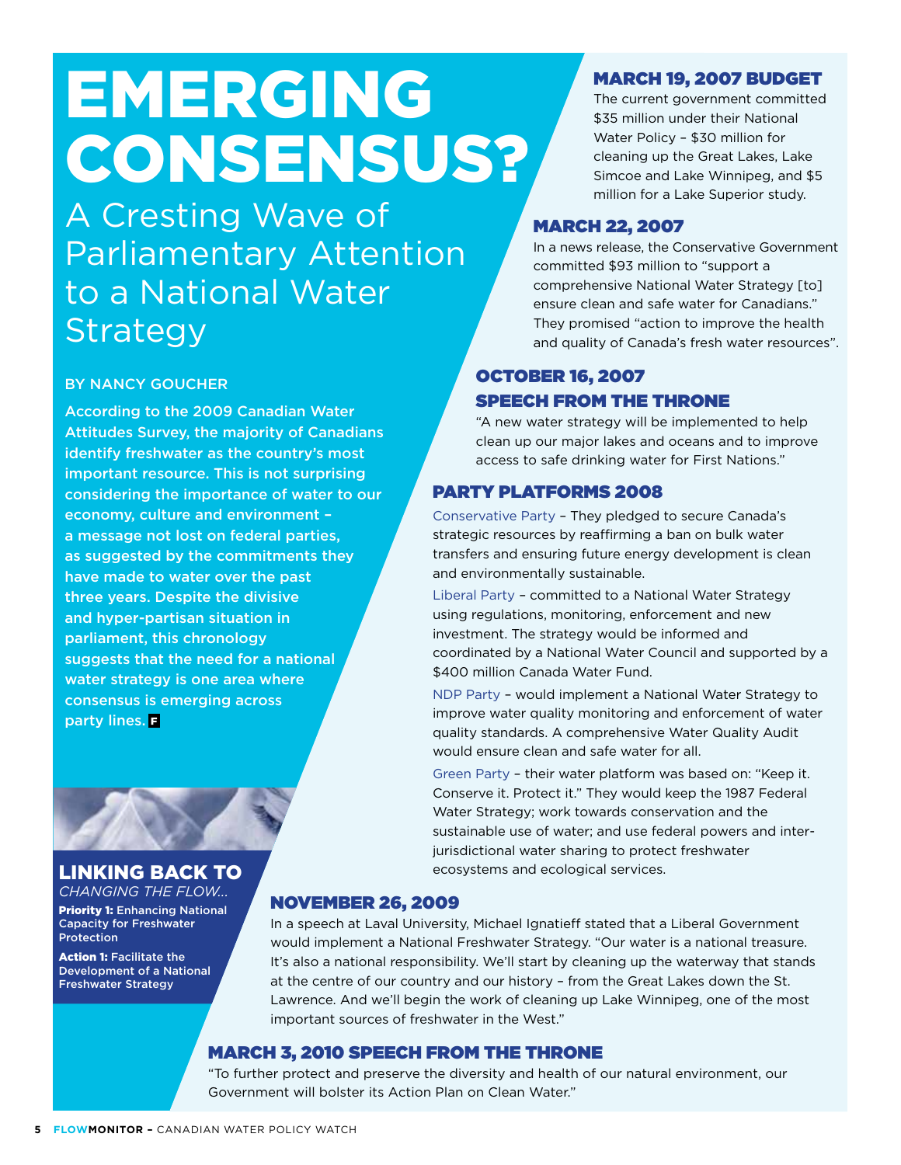# EMERGING CONSENSUS?

A Cresting Wave of Parliamentary Attention to a National Water Strategy

#### By Nancy Goucher

According to the 2009 Canadian Water Attitudes Survey, the majority of Canadians identify freshwater as the country's most important resource. This is not surprising considering the importance of water to our economy, culture and environment – a message not lost on federal parties, as suggested by the commitments they have made to water over the past three years. Despite the divisive and hyper-partisan situation in parliament, this chronology suggests that the need for a national water strategy is one area where consensus is emerging across party lines. **F** 



#### Linking back to

*Changing the Flow...*  **Priority 1: Enhancing National** Capacity for Freshwater **Protection** 

**Action 1: Facilitate the** Development of a National Freshwater Strategy

#### March 19, 2007 Budget

The current government committed \$35 million under their National Water Policy – \$30 million for cleaning up the Great Lakes, Lake Simcoe and Lake Winnipeg, and \$5 million for a Lake Superior study.

#### March 22, 2007

In a news release, the Conservative Government committed \$93 million to "support a comprehensive National Water Strategy [to] ensure clean and safe water for Canadians." They promised "action to improve the health and quality of Canada's fresh water resources".

#### **OCTOBER 16, 2007** Speech from the Throne

"A new water strategy will be implemented to help clean up our major lakes and oceans and to improve access to safe drinking water for First Nations."

#### Party Platforms 2008

Conservative Party – They pledged to secure Canada's strategic resources by reaffirming a ban on bulk water transfers and ensuring future energy development is clean and environmentally sustainable.

Liberal Party – committed to a National Water Strategy using regulations, monitoring, enforcement and new investment. The strategy would be informed and coordinated by a National Water Council and supported by a \$400 million Canada Water Fund.

NDP Party – would implement a National Water Strategy to improve water quality monitoring and enforcement of water quality standards. A comprehensive Water Quality Audit would ensure clean and safe water for all.

Green Party – their water platform was based on: "Keep it. Conserve it. Protect it." They would keep the 1987 Federal Water Strategy; work towards conservation and the sustainable use of water; and use federal powers and interjurisdictional water sharing to protect freshwater ecosystems and ecological services.

#### November 26, 2009

In a speech at Laval University, Michael Ignatieff stated that a Liberal Government would implement a National Freshwater Strategy. "Our water is a national treasure. It's also a national responsibility. We'll start by cleaning up the waterway that stands at the centre of our country and our history – from the Great Lakes down the St. Lawrence. And we'll begin the work of cleaning up Lake Winnipeg, one of the most important sources of freshwater in the West."

#### March 3, 2010 Speech from the Throne

"To further protect and preserve the diversity and health of our natural environment, our Government will bolster its Action Plan on Clean Water."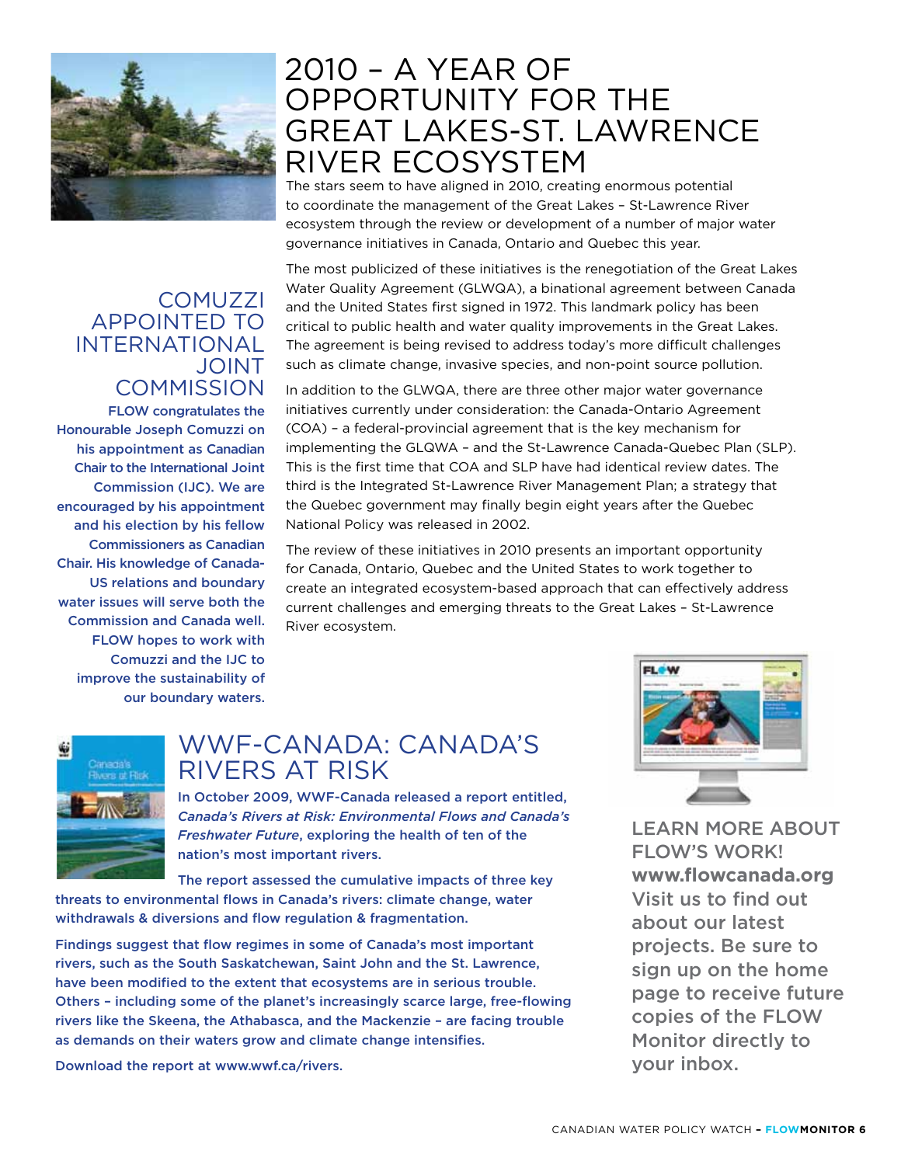

FLOW congratulates the

**COMMISSION** 

APPOINTED TO INTERNATIONAL

**COMUZZI** 

JOINT

our boundary waters.

Honourable Joseph Comuzzi on his appointment as Canadian Chair to the International Joint Commission (IJC). We are encouraged by his appointment and his election by his fellow Commissioners as Canadian Chair. His knowledge of Canada-US relations and boundary water issues will serve both the Commission and Canada well. FLOW hopes to work with Comuzzi and the IJC to improve the sustainability of

### The stars seem to have aligned in 2010, creating enormous potential OPPORTUNITY FOR THE GREAT LAKES-ST. LAWRENCE RIVER ECOSYSTEM

2010 – A YEAR OF

to coordinate the management of the Great Lakes – St-Lawrence River ecosystem through the review or development of a number of major water governance initiatives in Canada, Ontario and Quebec this year.

#### The most publicized of these initiatives is the renegotiation of the Great Lakes Water Quality Agreement (GLWQA), a binational agreement between Canada and the United States first signed in 1972. This landmark policy has been critical to public health and water quality improvements in the Great Lakes. The agreement is being revised to address today's more difficult challenges such as climate change, invasive species, and non-point source pollution.

In addition to the GLWQA, there are three other major water governance initiatives currently under consideration: the Canada-Ontario Agreement (COA) – a federal-provincial agreement that is the key mechanism for implementing the GLQWA – and the St-Lawrence Canada-Quebec Plan (SLP). This is the first time that COA and SLP have had identical review dates. The third is the Integrated St-Lawrence River Management Plan; a strategy that the Quebec government may finally begin eight years after the Quebec National Policy was released in 2002.

The review of these initiatives in 2010 presents an important opportunity for Canada, Ontario, Quebec and the United States to work together to create an integrated ecosystem-based approach that can effectively address current challenges and emerging threats to the Great Lakes – St-Lawrence River ecosystem.



### WWF-CANADA: CANADA'S RIVERS AT RISK

In October 2009, WWF-Canada released a report entitled, *Canada's Rivers at Risk: Environmental Flows and Canada's Freshwater Future*, exploring the health of ten of the nation's most important rivers.

The report assessed the cumulative impacts of three key threats to environmental flows in Canada's rivers: climate change, water withdrawals & diversions and flow regulation & fragmentation.

Findings suggest that flow regimes in some of Canada's most important rivers, such as the South Saskatchewan, Saint John and the St. Lawrence, have been modified to the extent that ecosystems are in serious trouble. Others – including some of the planet's increasingly scarce large, free-flowing rivers like the Skeena, the Athabasca, and the Mackenzie – are facing trouble as demands on their waters grow and climate change intensifies.

Download the report at www.wwf.ca/rivers.



Learn more about FLOW's work! **www.flowcanada.org** Visit us to find out about our latest projects. Be sure to sign up on the home page to receive future copies of the FLOW Monitor directly to your inbox.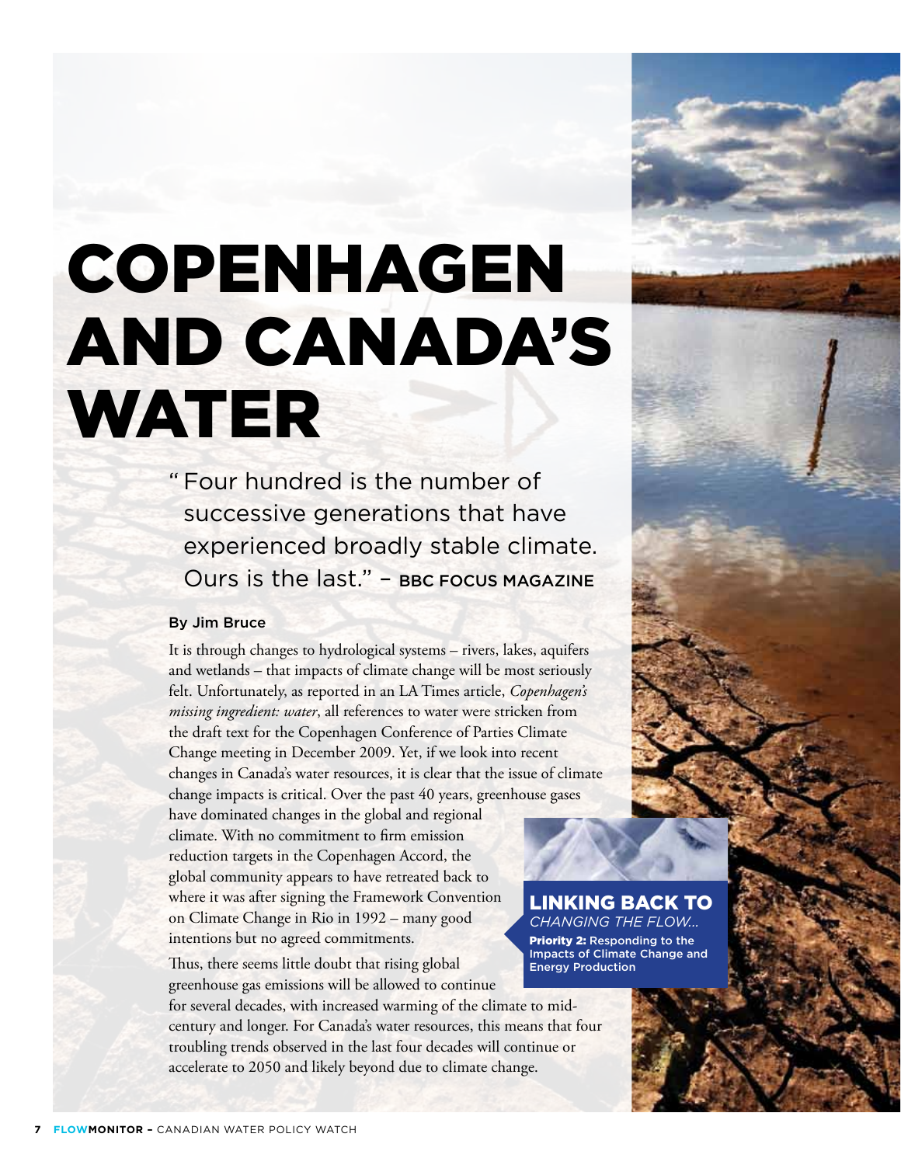# COPENHAGEN AND CANADA'S WATER

" Four hundred is the number of successive generations that have experienced broadly stable climate. Ours is the last." – BBC Focus Magazine

#### By Jim Bruce

It is through changes to hydrological systems – rivers, lakes, aquifers and wetlands – that impacts of climate change will be most seriously felt. Unfortunately, as reported in an LA Times article, *Copenhagen's missing ingredient: water*, all references to water were stricken from the draft text for the Copenhagen Conference of Parties Climate Change meeting in December 2009. Yet, if we look into recent changes in Canada's water resources, it is clear that the issue of climate change impacts is critical. Over the past 40 years, greenhouse gases

have dominated changes in the global and regional climate. With no commitment to firm emission reduction targets in the Copenhagen Accord, the global community appears to have retreated back to where it was after signing the Framework Convention on Climate Change in Rio in 1992 – many good intentions but no agreed commitments.

Thus, there seems little doubt that rising global greenhouse gas emissions will be allowed to continue

for several decades, with increased warming of the climate to midcentury and longer. For Canada's water resources, this means that four troubling trends observed in the last four decades will continue or accelerate to 2050 and likely beyond due to climate change.

Linking back to *Changing the Flow...*  Priority 2: Responding to the Impacts of Climate Change and Energy Production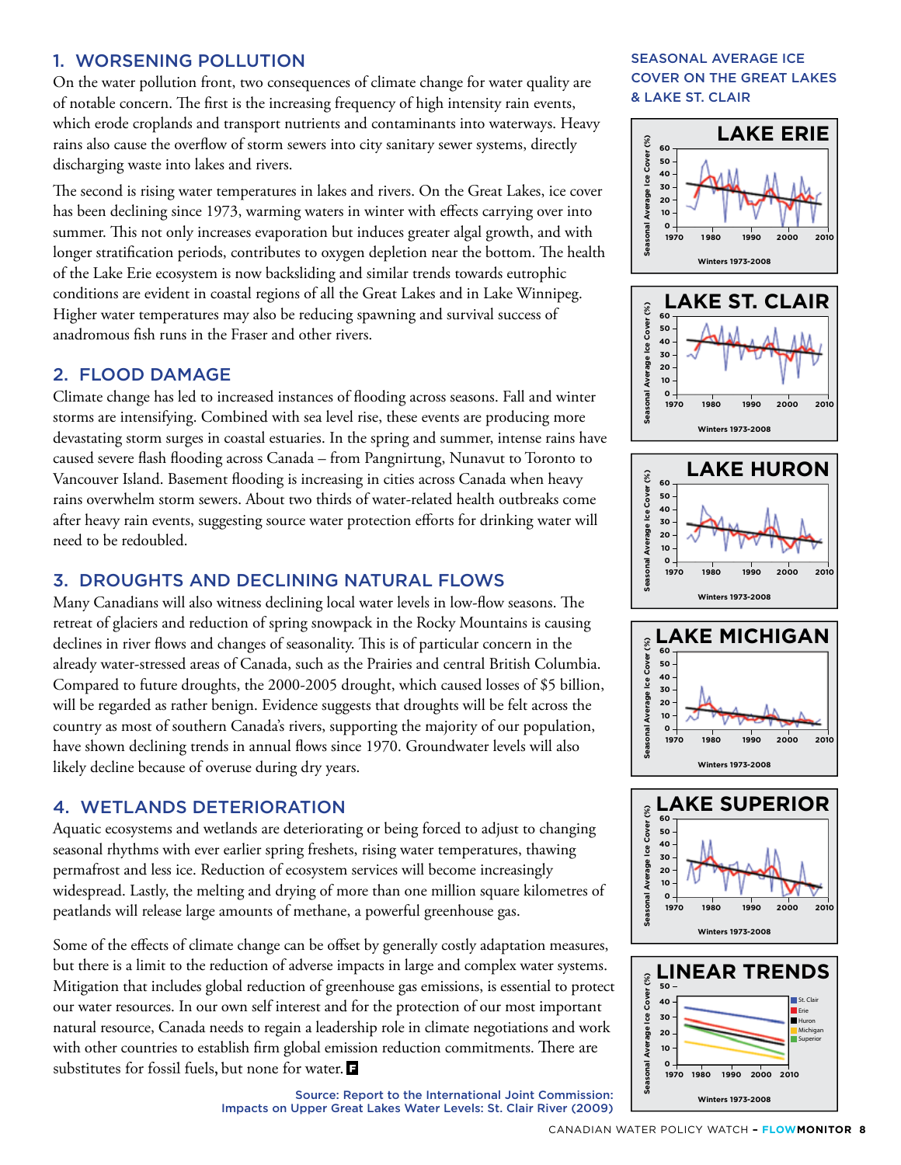#### 1. Worsening Pollution

On the water pollution front, two consequences of climate change for water quality are of notable concern. The first is the increasing frequency of high intensity rain events, which erode croplands and transport nutrients and contaminants into waterways. Heavy rains also cause the overflow of storm sewers into city sanitary sewer systems, directly discharging waste into lakes and rivers.

The second is rising water temperatures in lakes and rivers. On the Great Lakes, ice cover has been declining since 1973, warming waters in winter with effects carrying over into summer. This not only increases evaporation but induces greater algal growth, and with longer stratification periods, contributes to oxygen depletion near the bottom. The health of the Lake Erie ecosystem is now backsliding and similar trends towards eutrophic conditions are evident in coastal regions of all the Great Lakes and in Lake Winnipeg. Higher water temperatures may also be reducing spawning and survival success of anadromous fish runs in the Fraser and other rivers.

#### 2. Flood Damage

Climate change has led to increased instances of flooding across seasons. Fall and winter storms are intensifying. Combined with sea level rise, these events are producing more devastating storm surges in coastal estuaries. In the spring and summer, intense rains have caused severe flash flooding across Canada – from Pangnirtung, Nunavut to Toronto to Vancouver Island. Basement flooding is increasing in cities across Canada when heavy rains overwhelm storm sewers. About two thirds of water-related health outbreaks come after heavy rain events, suggesting source water protection efforts for drinking water will need to be redoubled.

#### 3. Droughts and Declining Natural Flows

Many Canadians will also witness declining local water levels in low-flow seasons. The retreat of glaciers and reduction of spring snowpack in the Rocky Mountains is causing declines in river flows and changes of seasonality. This is of particular concern in the already water-stressed areas of Canada, such as the Prairies and central British Columbia. Compared to future droughts, the 2000-2005 drought, which caused losses of \$5 billion, will be regarded as rather benign. Evidence suggests that droughts will be felt across the country as most of southern Canada's rivers, supporting the majority of our population, have shown declining trends in annual flows since 1970. Groundwater levels will also likely decline because of overuse during dry years.

#### 4. Wetlands Deterioration

Aquatic ecosystems and wetlands are deteriorating or being forced to adjust to changing seasonal rhythms with ever earlier spring freshets, rising water temperatures, thawing permafrost and less ice. Reduction of ecosystem services will become increasingly widespread. Lastly, the melting and drying of more than one million square kilometres of peatlands will release large amounts of methane, a powerful greenhouse gas.

Some of the effects of climate change can be offset by generally costly adaptation measures, but there is a limit to the reduction of adverse impacts in large and complex water systems. Mitigation that includes global reduction of greenhouse gas emissions, is essential to protect our water resources. In our own self interest and for the protection of our most important natural resource, Canada needs to regain a leadership role in climate negotiations and work with other countries to establish firm global emission reduction commitments. There are substitutes for fossil fuels, but none for water.

> Source: Report to the International Joint Commission: Impacts on Upper Great Lakes Water Levels: St. Clair River (2009)

#### Seasonal Average Ice Cover on the Great Lakes & Lake St. Clair











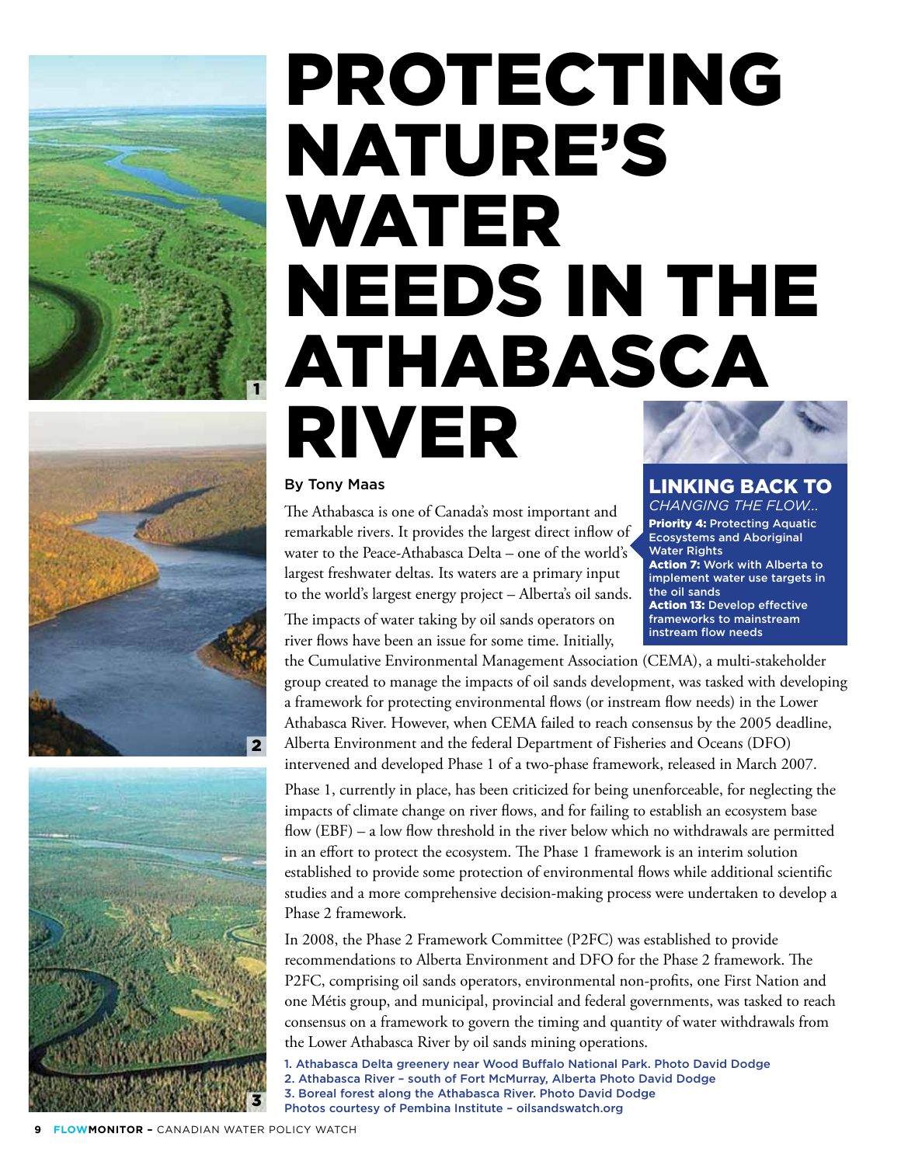

# NATURE'S WATER NEEDS IN THE ATHABASCA RIVER

PROTECTING





#### By Tony Maas

The Athabasca is one of Canada's most important and remarkable rivers. It provides the largest direct inflow of water to the Peace-Athabasca Delta – one of the world's largest freshwater deltas. Its waters are a primary input to the world's largest energy project – Alberta's oil sands.

The impacts of water taking by oil sands operators on river flows have been an issue for some time. Initially,

the Cumulative Environmental Management Association (CEMA), a multi-stakeholder group created to manage the impacts of oil sands development, was tasked with developing a framework for protecting environmental flows (or instream flow needs) in the Lower Athabasca River. However, when CEMA failed to reach consensus by the 2005 deadline, Alberta Environment and the federal Department of Fisheries and Oceans (DFO) intervened and developed Phase 1 of a two-phase framework, released in March 2007.

Phase 1, currently in place, has been criticized for being unenforceable, for neglecting the impacts of climate change on river flows, and for failing to establish an ecosystem base flow (EBF) – a low flow threshold in the river below which no withdrawals are permitted in an effort to protect the ecosystem. The Phase 1 framework is an interim solution established to provide some protection of environmental flows while additional scientific studies and a more comprehensive decision-making process were undertaken to develop a Phase 2 framework.

In 2008, the Phase 2 Framework Committee (P2FC) was established to provide recommendations to Alberta Environment and DFO for the Phase 2 framework. The P2FC, comprising oil sands operators, environmental non-profits, one First Nation and one Métis group, and municipal, provincial and federal governments, was tasked to reach consensus on a framework to govern the timing and quantity of water withdrawals from the Lower Athabasca River by oil sands mining operations.

- 1. Athabasca Delta greenery near Wood Buffalo National Park. Photo David Dodge
- 2. Athabasca River south of Fort McMurray, Alberta Photo David Dodge
	- 3. Boreal forest along the Athabasca River. Photo David Dodge Photos courtesy of Pembina Institute – oilsandswatch.org

### Linking back to

*Changing the Flow...*  Priority 4: Protecting Aquatic Ecosystems and Aboriginal Water Rights Action 7: Work with Alberta to implement water use targets in the oil sands Action 13: Develop effective frameworks to mainstream instream flow needs

**FLOWMONITOR - CANADIAN WATER POLICY WATCH**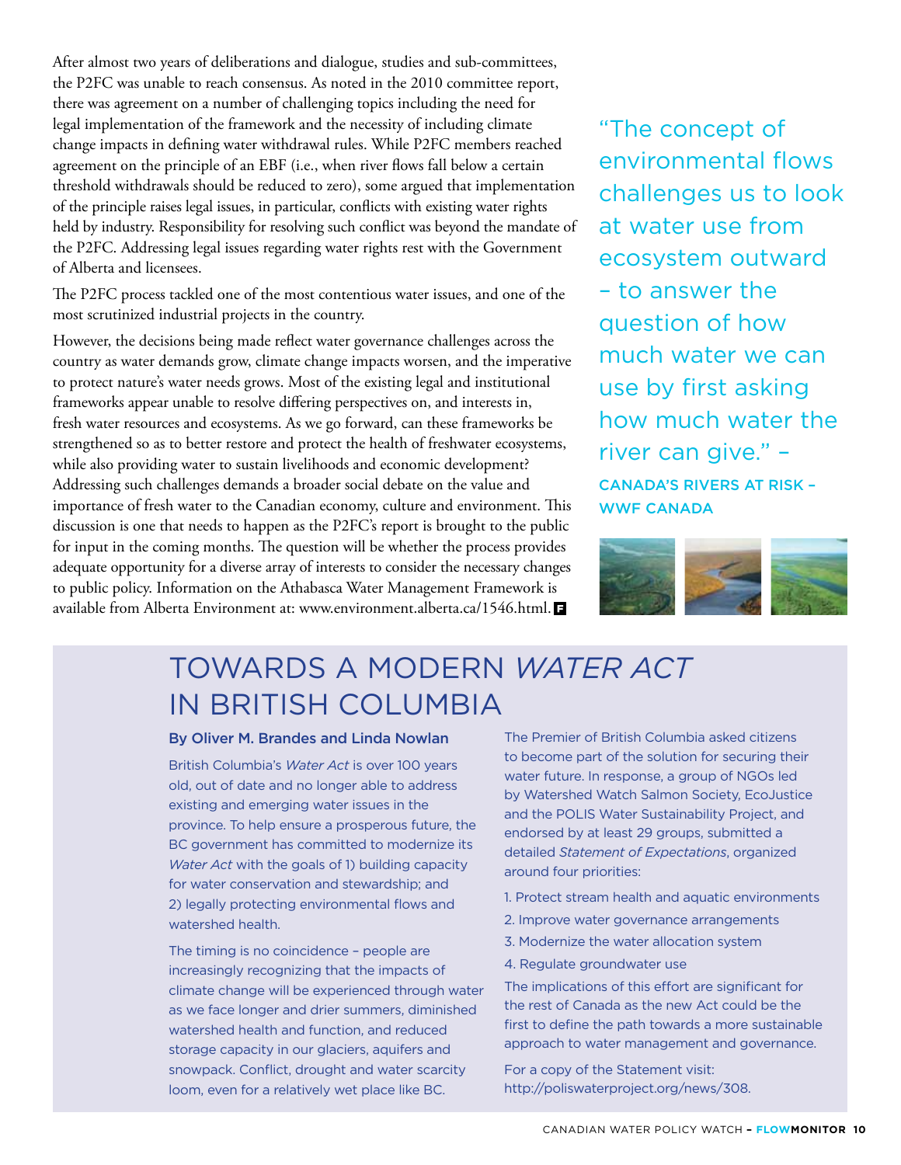After almost two years of deliberations and dialogue, studies and sub-committees, the P2FC was unable to reach consensus. As noted in the 2010 committee report, there was agreement on a number of challenging topics including the need for legal implementation of the framework and the necessity of including climate change impacts in defining water withdrawal rules. While P2FC members reached agreement on the principle of an EBF (i.e., when river flows fall below a certain threshold withdrawals should be reduced to zero), some argued that implementation of the principle raises legal issues, in particular, conflicts with existing water rights held by industry. Responsibility for resolving such conflict was beyond the mandate of the P2FC. Addressing legal issues regarding water rights rest with the Government of Alberta and licensees.

The P2FC process tackled one of the most contentious water issues, and one of the most scrutinized industrial projects in the country.

However, the decisions being made reflect water governance challenges across the country as water demands grow, climate change impacts worsen, and the imperative to protect nature's water needs grows. Most of the existing legal and institutional frameworks appear unable to resolve differing perspectives on, and interests in, fresh water resources and ecosystems. As we go forward, can these frameworks be strengthened so as to better restore and protect the health of freshwater ecosystems, while also providing water to sustain livelihoods and economic development? Addressing such challenges demands a broader social debate on the value and importance of fresh water to the Canadian economy, culture and environment. This discussion is one that needs to happen as the P2FC's report is brought to the public for input in the coming months. The question will be whether the process provides adequate opportunity for a diverse array of interests to consider the necessary changes to public policy. Information on the Athabasca Water Management Framework is available from Alberta Environment at: www.environment.alberta.ca/1546.html.

"The concept of environmental flows challenges us to look at water use from ecosystem outward – to answer the question of how much water we can use by first asking how much water the river can give." – Canada's Rivers at Risk – WWF CANADA



## TOWARDS A MODERN *WATER ACT* IN BRITISH COLUMBIA

#### By Oliver M. Brandes and Linda Nowlan

British Columbia's *Water Act* is over 100 years old, out of date and no longer able to address existing and emerging water issues in the province. To help ensure a prosperous future, the BC government has committed to modernize its *Water Act* with the goals of 1) building capacity for water conservation and stewardship; and 2) legally protecting environmental flows and watershed health.

The timing is no coincidence – people are increasingly recognizing that the impacts of climate change will be experienced through water as we face longer and drier summers, diminished watershed health and function, and reduced storage capacity in our glaciers, aquifers and snowpack. Conflict, drought and water scarcity loom, even for a relatively wet place like BC.

The Premier of British Columbia asked citizens to become part of the solution for securing their water future. In response, a group of NGOs led by Watershed Watch Salmon Society, EcoJustice and the POLIS Water Sustainability Project, and endorsed by at least 29 groups, submitted a detailed *Statement of Expectations*, organized around four priorities:

- 1. Protect stream health and aquatic environments
- 2. Improve water governance arrangements
- 3. Modernize the water allocation system
- 4. Regulate groundwater use

The implications of this effort are significant for the rest of Canada as the new Act could be the first to define the path towards a more sustainable approach to water management and governance.

For a copy of the Statement visit: http://poliswaterproject.org/news/308.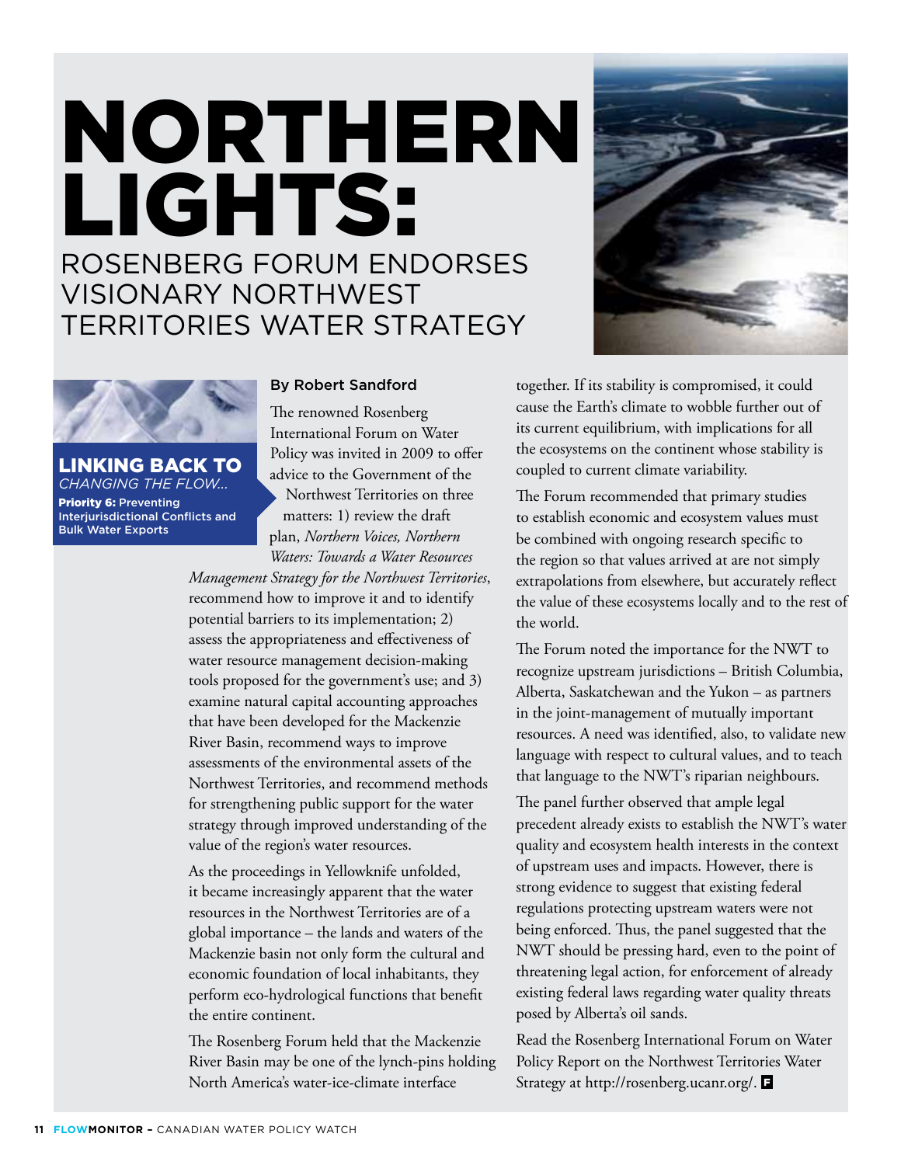## NORTHERN LIGHTS: ROSENBERG FORUM ENDORSES VISIONARY NORTHWEST TERRITORIES WATER STRATEGY





Linking back to *Changing the Flow...*  Priority 6: Preventing Interjurisdictional Conflicts and Bulk Water Exports

#### By Robert Sandford

The renowned Rosenberg International Forum on Water Policy was invited in 2009 to offer advice to the Government of the Northwest Territories on three

matters: 1) review the draft plan, *Northern Voices, Northern Waters: Towards a Water Resources* 

*Management Strategy for the Northwest Territories*, recommend how to improve it and to identify potential barriers to its implementation; 2) assess the appropriateness and effectiveness of water resource management decision-making tools proposed for the government's use; and 3) examine natural capital accounting approaches that have been developed for the Mackenzie River Basin, recommend ways to improve assessments of the environmental assets of the Northwest Territories, and recommend methods for strengthening public support for the water strategy through improved understanding of the value of the region's water resources.

As the proceedings in Yellowknife unfolded, it became increasingly apparent that the water resources in the Northwest Territories are of a global importance – the lands and waters of the Mackenzie basin not only form the cultural and economic foundation of local inhabitants, they perform eco-hydrological functions that benefit the entire continent.

The Rosenberg Forum held that the Mackenzie River Basin may be one of the lynch-pins holding North America's water-ice-climate interface

together. If its stability is compromised, it could cause the Earth's climate to wobble further out of its current equilibrium, with implications for all the ecosystems on the continent whose stability is coupled to current climate variability.

The Forum recommended that primary studies to establish economic and ecosystem values must be combined with ongoing research specific to the region so that values arrived at are not simply extrapolations from elsewhere, but accurately reflect the value of these ecosystems locally and to the rest of the world.

The Forum noted the importance for the NWT to recognize upstream jurisdictions – British Columbia, Alberta, Saskatchewan and the Yukon – as partners in the joint-management of mutually important resources. A need was identified, also, to validate new language with respect to cultural values, and to teach that language to the NWT's riparian neighbours.

The panel further observed that ample legal precedent already exists to establish the NWT's water quality and ecosystem health interests in the context of upstream uses and impacts. However, there is strong evidence to suggest that existing federal regulations protecting upstream waters were not being enforced. Thus, the panel suggested that the NWT should be pressing hard, even to the point of threatening legal action, for enforcement of already existing federal laws regarding water quality threats posed by Alberta's oil sands.

Read the Rosenberg International Forum on Water Policy Report on the Northwest Territories Water Strategy at http://rosenberg.ucanr.org/.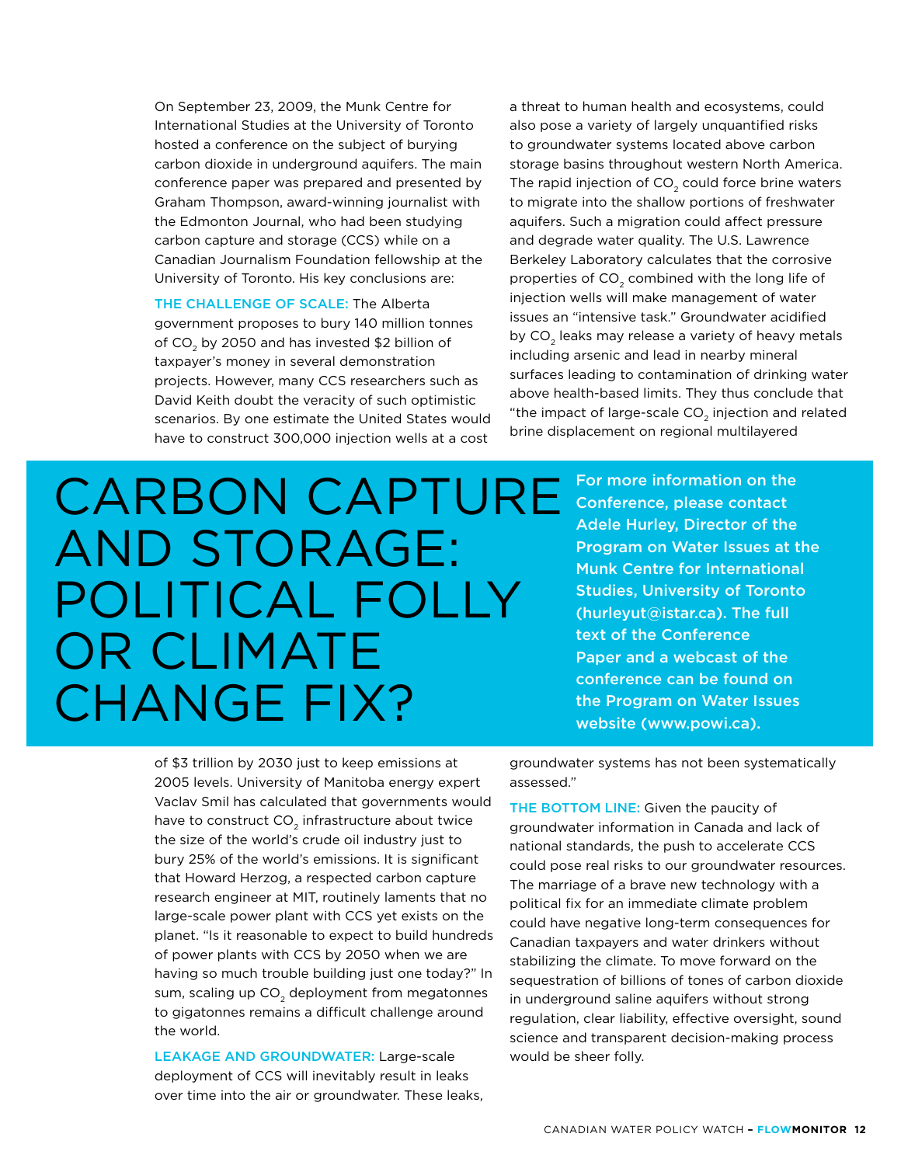On September 23, 2009, the Munk Centre for International Studies at the University of Toronto hosted a conference on the subject of burying carbon dioxide in underground aquifers. The main conference paper was prepared and presented by Graham Thompson, award-winning journalist with the Edmonton Journal, who had been studying carbon capture and storage (CCS) while on a Canadian Journalism Foundation fellowship at the University of Toronto. His key conclusions are:

THE CHALLENGE OF SCALE: The Alberta government proposes to bury 140 million tonnes of  $CO<sub>2</sub>$  by 2050 and has invested \$2 billion of taxpayer's money in several demonstration projects. However, many CCS researchers such as David Keith doubt the veracity of such optimistic scenarios. By one estimate the United States would have to construct 300,000 injection wells at a cost

a threat to human health and ecosystems, could also pose a variety of largely unquantified risks to groundwater systems located above carbon storage basins throughout western North America. The rapid injection of  $CO<sub>2</sub>$  could force brine waters to migrate into the shallow portions of freshwater aquifers. Such a migration could affect pressure and degrade water quality. The U.S. Lawrence Berkeley Laboratory calculates that the corrosive properties of CO<sub>2</sub> combined with the long life of injection wells will make management of water issues an "intensive task." Groundwater acidified by CO<sub>2</sub> leaks may release a variety of heavy metals including arsenic and lead in nearby mineral surfaces leading to contamination of drinking water above health-based limits. They thus conclude that "the impact of large-scale  $CO<sub>2</sub>$  injection and related brine displacement on regional multilayered

## CARBON CAPTURE AND STORAGE: POLITICAL FOLLY OR CLIMATE CHANGE FIX?

For more information on the Conference, please contact Adele Hurley, Director of the Program on Water Issues at the Munk Centre for International Studies, University of Toronto (hurleyut@istar.ca). The full text of the Conference Paper and a webcast of the conference can be found on the Program on Water Issues website (www.powi.ca).

of \$3 trillion by 2030 just to keep emissions at 2005 levels. University of Manitoba energy expert Vaclav Smil has calculated that governments would have to construct  $CO<sub>2</sub>$  infrastructure about twice the size of the world's crude oil industry just to bury 25% of the world's emissions. It is significant that Howard Herzog, a respected carbon capture research engineer at MIT, routinely laments that no large-scale power plant with CCS yet exists on the planet. "Is it reasonable to expect to build hundreds of power plants with CCS by 2050 when we are having so much trouble building just one today?" In sum, scaling up CO<sub>2</sub> deployment from megatonnes to gigatonnes remains a difficult challenge around the world.

LEAKAGE AND GROUNDWATER: Large-scale deployment of CCS will inevitably result in leaks over time into the air or groundwater. These leaks, groundwater systems has not been systematically assessed."

THE BOTTOM LINE: Given the paucity of groundwater information in Canada and lack of national standards, the push to accelerate CCS could pose real risks to our groundwater resources. The marriage of a brave new technology with a political fix for an immediate climate problem could have negative long-term consequences for Canadian taxpayers and water drinkers without stabilizing the climate. To move forward on the sequestration of billions of tones of carbon dioxide in underground saline aquifers without strong regulation, clear liability, effective oversight, sound science and transparent decision-making process would be sheer folly.